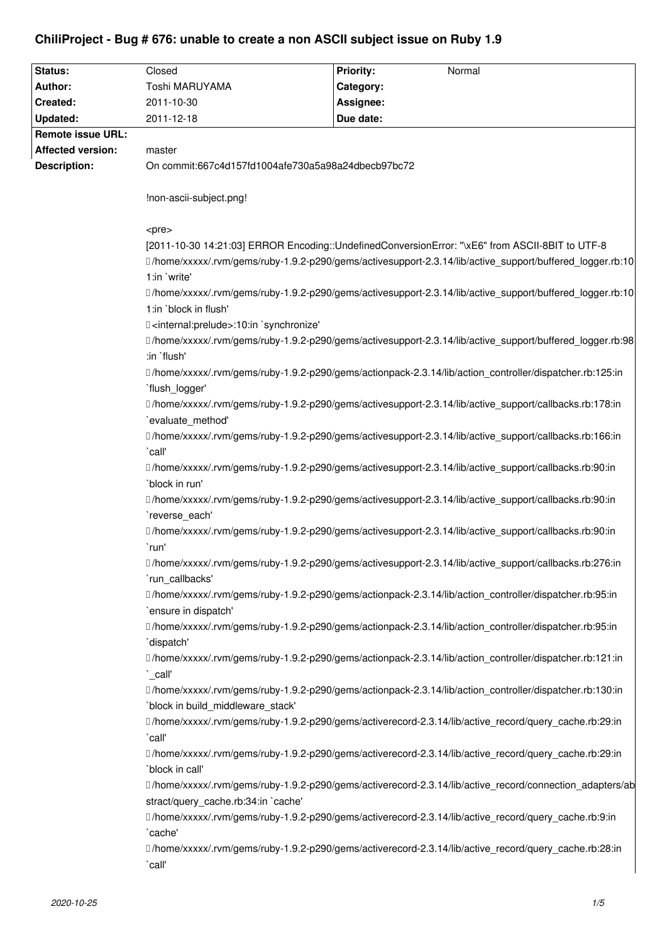# **ChiliProject - Bug # 676: unable to create a non ASCII subject issue on Ruby 1.9**

| Status:                  | Closed                                                                                                                       | <b>Priority:</b><br>Normal                                                                               |  |
|--------------------------|------------------------------------------------------------------------------------------------------------------------------|----------------------------------------------------------------------------------------------------------|--|
| Author:                  | Toshi MARUYAMA                                                                                                               | Category:                                                                                                |  |
| Created:                 | 2011-10-30                                                                                                                   | Assignee:                                                                                                |  |
| <b>Updated:</b>          | 2011-12-18                                                                                                                   | Due date:                                                                                                |  |
| <b>Remote issue URL:</b> |                                                                                                                              |                                                                                                          |  |
| Affected version:        | master                                                                                                                       |                                                                                                          |  |
| <b>Description:</b>      | On commit:667c4d157fd1004afe730a5a98a24dbecb97bc72                                                                           |                                                                                                          |  |
|                          |                                                                                                                              |                                                                                                          |  |
|                          | !non-ascii-subject.png!                                                                                                      |                                                                                                          |  |
|                          | <pre></pre>                                                                                                                  |                                                                                                          |  |
|                          | [2011-10-30 14:21:03] ERROR Encoding::UndefinedConversionError: "\xE6" from ASCII-8BIT to UTF-8                              |                                                                                                          |  |
|                          | [10] home/xxxxx/.rvm/gems/ruby-1.9.2-p290/gems/activesupport-2.3.14/lib/active_support/buffered_logger.rb:10<br>1:in `write' |                                                                                                          |  |
|                          | [10] home/xxxxx/.rvm/gems/ruby-1.9.2-p290/gems/activesupport-2.3.14/lib/active_support/buffered_logger.rb:10                 |                                                                                                          |  |
|                          | 1:in `block in flush'                                                                                                        |                                                                                                          |  |
|                          | I <internal:prelude>:10:in `synchronize'</internal:prelude>                                                                  |                                                                                                          |  |
|                          | [98] home/xxxxx/.rvm/gems/ruby-1.9.2-p290/gems/activesupport-2.3.14/lib/active_support/buffered_logger.rb<br>:in `flush'     |                                                                                                          |  |
|                          | D/home/xxxxx/.rvm/gems/ruby-1.9.2-p290/gems/actionpack-2.3.14/lib/action_controller/dispatcher.rb:125:in                     |                                                                                                          |  |
|                          | `flush_logger'                                                                                                               |                                                                                                          |  |
|                          | [] /home/xxxxx/.rvm/gems/ruby-1.9.2-p290/gems/activesupport-2.3.14/lib/active_support/callbacks.rb:178:in                    |                                                                                                          |  |
|                          | `evaluate_method'                                                                                                            |                                                                                                          |  |
|                          | [] /home/xxxxx/.rvm/gems/ruby-1.9.2-p290/gems/activesupport-2.3.14/lib/active_support/callbacks.rb:166:in<br>`call'          |                                                                                                          |  |
|                          | [] /home/xxxxx/.rvm/gems/ruby-1.9.2-p290/gems/activesupport-2.3.14/lib/active_support/callbacks.rb:90:in<br>`block in run'   |                                                                                                          |  |
|                          | [] /home/xxxxx/.rvm/gems/ruby-1.9.2-p290/gems/activesupport-2.3.14/lib/active_support/callbacks.rb:90:in                     |                                                                                                          |  |
|                          | `reverse_each'<br>[] /home/xxxxx/.rvm/gems/ruby-1.9.2-p290/gems/activesupport-2.3.14/lib/active_support/callbacks.rb:90:in   |                                                                                                          |  |
|                          | `run'                                                                                                                        |                                                                                                          |  |
|                          | `run_callbacks'                                                                                                              | D/home/xxxxx/.rvm/gems/ruby-1.9.2-p290/gems/activesupport-2.3.14/lib/active support/callbacks.rb:276:in  |  |
|                          | 'ensure in dispatch'                                                                                                         | D/home/xxxxx/.rvm/gems/ruby-1.9.2-p290/gems/actionpack-2.3.14/lib/action_controller/dispatcher.rb:95:in  |  |
|                          | 'dispatch'                                                                                                                   | D/home/xxxxx/.rvm/gems/ruby-1.9.2-p290/gems/actionpack-2.3.14/lib/action controller/dispatcher.rb:95:in  |  |
|                          | `_call'                                                                                                                      | D/home/xxxxx/.rvm/gems/ruby-1.9.2-p290/gems/actionpack-2.3.14/lib/action controller/dispatcher.rb:121:in |  |
|                          |                                                                                                                              | D/home/xxxxx/.rvm/gems/ruby-1.9.2-p290/gems/actionpack-2.3.14/lib/action controller/dispatcher.rb:130:in |  |
|                          | `block in build_middleware_stack'                                                                                            | [] /home/xxxxx/.rvm/gems/ruby-1.9.2-p290/gems/activerecord-2.3.14/lib/active_record/query_cache.rb:29:in |  |
|                          | `call'                                                                                                                       | D/home/xxxxx/.rvm/gems/ruby-1.9.2-p290/gems/activerecord-2.3.14/lib/active_record/query_cache.rb:29:in   |  |
|                          | `block in call'<br>[]/home/xxxxx/.rvm/gems/ruby-1.9.2-p290/gems/activerecord-2.3.14/lib/active_record/connection_adapters/ab |                                                                                                          |  |
|                          | stract/query_cache.rb:34:in `cache'                                                                                          |                                                                                                          |  |
|                          | `cache'                                                                                                                      | D/home/xxxxx/.rvm/gems/ruby-1.9.2-p290/gems/activerecord-2.3.14/lib/active_record/query_cache.rb:9:in    |  |
|                          | `call'                                                                                                                       | D/home/xxxxx/.rvm/gems/ruby-1.9.2-p290/gems/activerecord-2.3.14/lib/active_record/query_cache.rb:28:in   |  |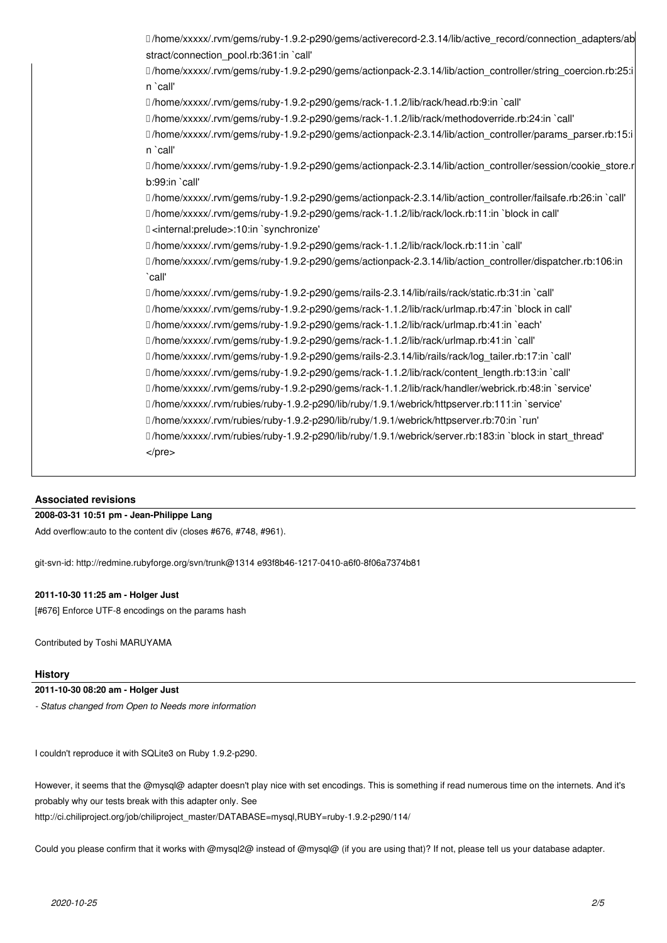| []/home/xxxxx/.rvm/gems/ruby-1.9.2-p290/gems/activerecord-2.3.14/lib/active_record/connection_adapters/ab                |
|--------------------------------------------------------------------------------------------------------------------------|
| stract/connection_pool.rb:361:in `call'                                                                                  |
| [1/home/xxxxx/.rvm/gems/ruby-1.9.2-p290/gems/actionpack-2.3.14/lib/action_controller/string_coercion.rb:25:i<br>n `call' |
|                                                                                                                          |
| []/home/xxxxx/.rvm/gems/ruby-1.9.2-p290/gems/rack-1.1.2/lib/rack/head.rb:9:in `call'                                     |
| []/home/xxxxx/.rvm/gems/ruby-1.9.2-p290/gems/rack-1.1.2/lib/rack/methodoverride.rb:24:in `call'                          |
| [1/home/xxxxx/.rvm/gems/ruby-1.9.2-p290/gems/actionpack-2.3.14/lib/action controller/params parser.rb:15:i<br>n `call'   |
| [1/home/xxxxx/.rvm/gems/ruby-1.9.2-p290/gems/actionpack-2.3.14/lib/action_controller/session/cookie_store.r              |
| b:99:in `call'                                                                                                           |
| []/home/xxxxx/.rvm/gems/ruby-1.9.2-p290/gems/actionpack-2.3.14/lib/action controller/failsafe.rb:26:in `call'            |
| []/home/xxxxx/.rvm/gems/ruby-1.9.2-p290/gems/rack-1.1.2/lib/rack/lock.rb:11:in `block in call'                           |
| I <internal:prelude>:10:in `synchronize'</internal:prelude>                                                              |
| []/home/xxxxx/.rvm/gems/ruby-1.9.2-p290/gems/rack-1.1.2/lib/rack/lock.rb:11:in `call'                                    |
| D/home/xxxxx/.rvm/gems/ruby-1.9.2-p290/gems/actionpack-2.3.14/lib/action controller/dispatcher.rb:106:in                 |
| `call'                                                                                                                   |
| [/forme/xxxxx/.rvm/gems/ruby-1.9.2-p290/gems/rails-2.3.14/lib/rails/rack/static.rb:31:in `call                           |
| []/home/xxxxx/.rvm/gems/ruby-1.9.2-p290/gems/rack-1.1.2/lib/rack/urlmap.rb:47:in `block in call'                         |
| []/home/xxxxx/.rvm/gems/ruby-1.9.2-p290/gems/rack-1.1.2/lib/rack/urlmap.rb:41:in `each'                                  |
| []/home/xxxxx/.rvm/gems/ruby-1.9.2-p290/gems/rack-1.1.2/lib/rack/urlmap.rb:41:in `call'                                  |
| []/home/xxxxx/.rvm/gems/ruby-1.9.2-p290/gems/rails-2.3.14/lib/rails/rack/log_tailer.rb:17:in `call'                      |
| []/home/xxxxx/.rvm/gems/ruby-1.9.2-p290/gems/rack-1.1.2/lib/rack/content length.rb:13:in `call'                          |
| []/home/xxxxx/.rvm/gems/ruby-1.9.2-p290/gems/rack-1.1.2/lib/rack/handler/webrick.rb:48:in `service'                      |
| D/home/xxxxx/.rvm/rubies/ruby-1.9.2-p290/lib/ruby/1.9.1/webrick/httpserver.rb:111:in `service'                           |
| D/home/xxxxx/.rvm/rubies/ruby-1.9.2-p290/lib/ruby/1.9.1/webrick/httpserver.rb:70:in `run'                                |
| []/home/xxxxx/.rvm/rubies/ruby-1.9.2-p290/lib/ruby/1.9.1/webrick/server.rb:183:in `block in start thread'                |
| $<$ /pre $>$                                                                                                             |
|                                                                                                                          |

## **Associated revisions**

# **2008-03-31 10:51 pm - Jean-Philippe Lang**

Add overflow:auto to the content div (closes #676, #748, #961).

git-svn-id: http://redmine.rubyforge.org/svn/trunk@1314 e93f8b46-1217-0410-a6f0-8f06a7374b81

## **2011-10-30 11:25 am - Holger Just**

[#676] Enforce UTF-8 encodings on the params hash

Contributed by Toshi MARUYAMA

## **History**

# **2011-10-30 08:20 am - Holger Just**

*- Status changed from Open to Needs more information*

I couldn't reproduce it with SQLite3 on Ruby 1.9.2-p290.

However, it seems that the @mysql@ adapter doesn't play nice with set encodings. This is something if read numerous time on the internets. And it's probably why our tests break with this adapter only. See http://ci.chiliproject.org/job/chiliproject\_master/DATABASE=mysql,RUBY=ruby-1.9.2-p290/114/

Could you please confirm that it works with @mysql2@ instead of @mysql@ (if you are using that)? If not, please tell us your database adapter.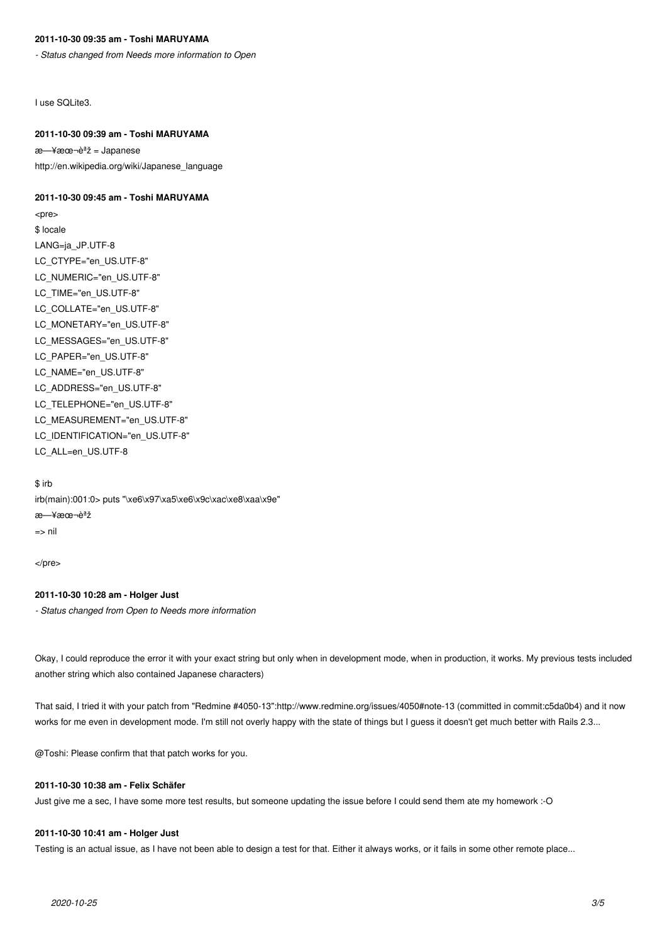#### **2011-10-30 09:35 am - Toshi MARUYAMA**

*- Status changed from Needs more information to Open*

I use SQLite3.

#### **2011-10-30 09:39 am - Toshi MARUYAMA**

æ-¥æœ¬èªž = Japanese http://en.wikipedia.org/wiki/Japanese\_language

#### **2011-10-30 09:45 am - Toshi MARUYAMA**

<pre> \$ locale LANG=ja\_JP.UTF-8 LC\_CTYPE="en\_US.UTF-8" LC\_NUMERIC="en\_US.UTF-8" LC\_TIME="en\_US.UTF-8" LC\_COLLATE="en\_US.UTF-8" LC\_MONETARY="en\_US.UTF-8" LC\_MESSAGES="en\_US.UTF-8" LC\_PAPER="en\_US.UTF-8" LC\_NAME="en\_US.UTF-8" LC\_ADDRESS="en\_US.UTF-8" LC\_TELEPHONE="en\_US.UTF-8" LC\_MEASUREMENT="en\_US.UTF-8" LC\_IDENTIFICATION="en\_US.UTF-8" LC\_ALL=en\_US.UTF-8

#### \$ irb

irb(main):001:0> puts "\xe6\x97\xa5\xe6\x9c\xac\xe8\xaa\x9e" 日本語 => nil

</pre>

### **2011-10-30 10:28 am - Holger Just**

*- Status changed from Open to Needs more information*

Okay, I could reproduce the error it with your exact string but only when in development mode, when in production, it works. My previous tests included another string which also contained Japanese characters)

That said, I tried it with your patch from "Redmine #4050-13":http://www.redmine.org/issues/4050#note-13 (committed in commit:c5da0b4) and it now works for me even in development mode. I'm still not overly happy with the state of things but I guess it doesn't get much better with Rails 2.3...

@Toshi: Please confirm that that patch works for you.

#### **2011-10-30 10:38 am - Felix Schäfer**

Just give me a sec, I have some more test results, but someone updating the issue before I could send them ate my homework :-O

#### **2011-10-30 10:41 am - Holger Just**

Testing is an actual issue, as I have not been able to design a test for that. Either it always works, or it fails in some other remote place...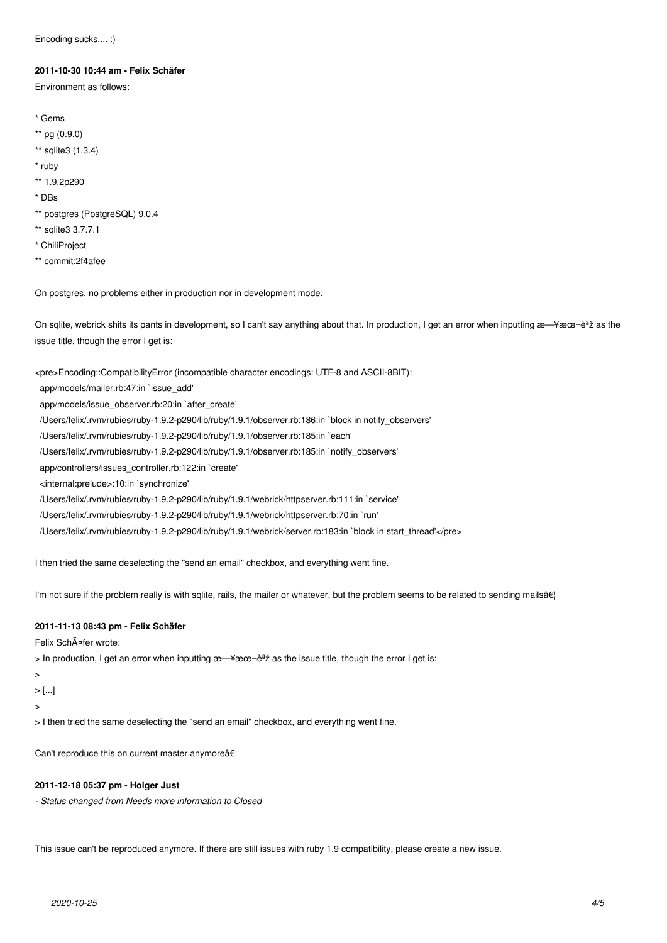Encoding sucks.... :)

## **2011-10-30 10:44 am - Felix Schäfer**

Environment as follows:

- \* Gems
- \*\* pg (0.9.0)
- \*\* sqlite3 (1.3.4)
- \* ruby
- \*\* 1.9.2p290
- \* DBs
- \*\* postgres (PostgreSQL) 9.0.4
- \*\* sqlite3 3.7.7.1
- \* ChiliProject
- \*\* commit:2f4afee

On postgres, no problems either in production nor in development mode.

On sqlite, webrick shits its pants in development, so I can't say anything about that. In production, I get an error when inputting 日本è<sup>a</sup>ž as the issue title, though the error I get is:

<pre>Encoding::CompatibilityError (incompatible character encodings: UTF-8 and ASCII-8BIT):

app/models/mailer.rb:47:in `issue\_add'

app/models/issue\_observer.rb:20:in `after\_create'

/Users/felix/.rvm/rubies/ruby-1.9.2-p290/lib/ruby/1.9.1/observer.rb:186:in `block in notify\_observers'

/Users/felix/.rvm/rubies/ruby-1.9.2-p290/lib/ruby/1.9.1/observer.rb:185:in `each'

/Users/felix/.rvm/rubies/ruby-1.9.2-p290/lib/ruby/1.9.1/observer.rb:185:in `notify\_observers'

app/controllers/issues\_controller.rb:122:in `create'

<internal:prelude>:10:in `synchronize'

/Users/felix/.rvm/rubies/ruby-1.9.2-p290/lib/ruby/1.9.1/webrick/httpserver.rb:111:in `service'

/Users/felix/.rvm/rubies/ruby-1.9.2-p290/lib/ruby/1.9.1/webrick/httpserver.rb:70:in `run'

/Users/felix/.rvm/rubies/ruby-1.9.2-p290/lib/ruby/1.9.1/webrick/server.rb:183:in `block in start\_thread'</pre>

I then tried the same deselecting the "send an email" checkbox, and everything went fine.

I'm not sure if the problem really is with sqlite, rails, the mailer or whatever, but the problem seems to be related to sending mailså $\epsilon$ 

## **2011-11-13 08:43 pm - Felix Schäfer**

Felix SchĤfer wrote:

> In production, I get an error when inputting  $x$ —¥ $x^2$ e $x^2$  as the issue title, though the error I get is:

>

> [...]

>

> I then tried the same deselecting the "send an email" checkbox, and everything went fine.

Can't reproduce this on current master anymore $\hat{a}\epsilon_1^{\dagger}$ 

## **2011-12-18 05:37 pm - Holger Just**

*- Status changed from Needs more information to Closed*

This issue can't be reproduced anymore. If there are still issues with ruby 1.9 compatibility, please create a new issue.